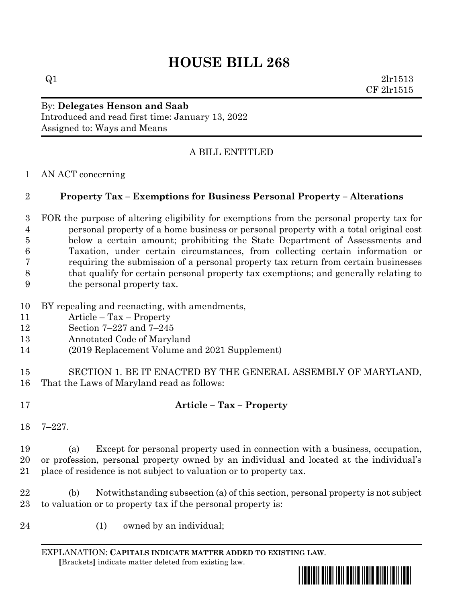# **HOUSE BILL 268**

 $Q1$  2lr1513 CF 2lr1515

#### By: **Delegates Henson and Saab** Introduced and read first time: January 13, 2022 Assigned to: Ways and Means

## A BILL ENTITLED

AN ACT concerning

#### **Property Tax – Exemptions for Business Personal Property – Alterations**

 FOR the purpose of altering eligibility for exemptions from the personal property tax for personal property of a home business or personal property with a total original cost below a certain amount; prohibiting the State Department of Assessments and Taxation, under certain circumstances, from collecting certain information or requiring the submission of a personal property tax return from certain businesses that qualify for certain personal property tax exemptions; and generally relating to the personal property tax.

- BY repealing and reenacting, with amendments,
- Article Tax Property
- Section 7–227 and 7–245
- Annotated Code of Maryland
- (2019 Replacement Volume and 2021 Supplement)
- SECTION 1. BE IT ENACTED BY THE GENERAL ASSEMBLY OF MARYLAND, That the Laws of Maryland read as follows:
- 

## **Article – Tax – Property**

7–227.

 (a) Except for personal property used in connection with a business, occupation, or profession, personal property owned by an individual and located at the individual's place of residence is not subject to valuation or to property tax.

 (b) Notwithstanding subsection (a) of this section, personal property is not subject to valuation or to property tax if the personal property is:

- 
- (1) owned by an individual;